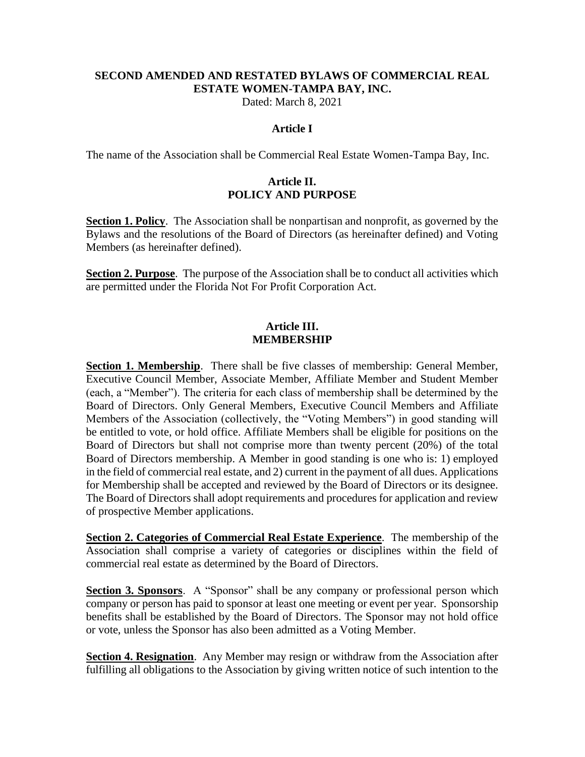### **SECOND AMENDED AND RESTATED BYLAWS OF COMMERCIAL REAL ESTATE WOMEN-TAMPA BAY, INC.**

Dated: March 8, 2021

#### **Article I**

The name of the Association shall be Commercial Real Estate Women-Tampa Bay, Inc.

### **Article II. POLICY AND PURPOSE**

**Section 1. Policy**. The Association shall be nonpartisan and nonprofit, as governed by the Bylaws and the resolutions of the Board of Directors (as hereinafter defined) and Voting Members (as hereinafter defined).

**Section 2. Purpose**. The purpose of the Association shall be to conduct all activities which are permitted under the Florida Not For Profit Corporation Act.

#### **Article III. MEMBERSHIP**

**Section 1. Membership**. There shall be five classes of membership: General Member, Executive Council Member, Associate Member, Affiliate Member and Student Member (each, a "Member"). The criteria for each class of membership shall be determined by the Board of Directors. Only General Members, Executive Council Members and Affiliate Members of the Association (collectively, the "Voting Members") in good standing will be entitled to vote, or hold office. Affiliate Members shall be eligible for positions on the Board of Directors but shall not comprise more than twenty percent (20%) of the total Board of Directors membership. A Member in good standing is one who is: 1) employed in the field of commercial real estate, and 2) current in the payment of all dues. Applications for Membership shall be accepted and reviewed by the Board of Directors or its designee. The Board of Directors shall adopt requirements and procedures for application and review of prospective Member applications.

**Section 2. Categories of Commercial Real Estate Experience**. The membership of the Association shall comprise a variety of categories or disciplines within the field of commercial real estate as determined by the Board of Directors.

**Section 3. Sponsors.** A "Sponsor" shall be any company or professional person which company or person has paid to sponsor at least one meeting or event per year. Sponsorship benefits shall be established by the Board of Directors. The Sponsor may not hold office or vote, unless the Sponsor has also been admitted as a Voting Member.

**Section 4. Resignation.** Any Member may resign or withdraw from the Association after fulfilling all obligations to the Association by giving written notice of such intention to the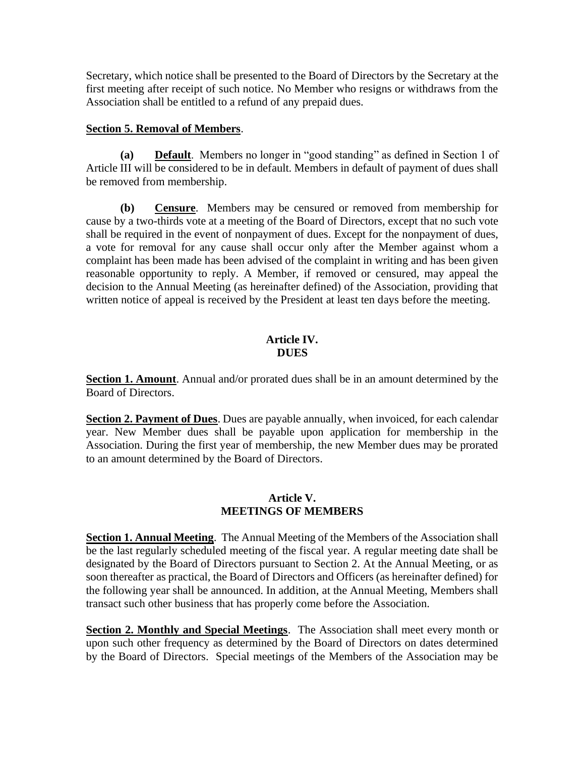Secretary, which notice shall be presented to the Board of Directors by the Secretary at the first meeting after receipt of such notice. No Member who resigns or withdraws from the Association shall be entitled to a refund of any prepaid dues.

### **Section 5. Removal of Members**.

**(a) Default**. Members no longer in "good standing" as defined in Section 1 of Article III will be considered to be in default. Members in default of payment of dues shall be removed from membership.

**(b) Censure**. Members may be censured or removed from membership for cause by a two-thirds vote at a meeting of the Board of Directors, except that no such vote shall be required in the event of nonpayment of dues. Except for the nonpayment of dues, a vote for removal for any cause shall occur only after the Member against whom a complaint has been made has been advised of the complaint in writing and has been given reasonable opportunity to reply. A Member, if removed or censured, may appeal the decision to the Annual Meeting (as hereinafter defined) of the Association, providing that written notice of appeal is received by the President at least ten days before the meeting.

## **Article IV. DUES**

**Section 1. Amount**. Annual and/or prorated dues shall be in an amount determined by the Board of Directors.

**Section 2. Payment of Dues**. Dues are payable annually, when invoiced, for each calendar year. New Member dues shall be payable upon application for membership in the Association. During the first year of membership, the new Member dues may be prorated to an amount determined by the Board of Directors.

#### **Article V. MEETINGS OF MEMBERS**

**Section 1. Annual Meeting**. The Annual Meeting of the Members of the Association shall be the last regularly scheduled meeting of the fiscal year. A regular meeting date shall be designated by the Board of Directors pursuant to Section 2. At the Annual Meeting, or as soon thereafter as practical, the Board of Directors and Officers (as hereinafter defined) for the following year shall be announced. In addition, at the Annual Meeting, Members shall transact such other business that has properly come before the Association.

**Section 2. Monthly and Special Meetings**. The Association shall meet every month or upon such other frequency as determined by the Board of Directors on dates determined by the Board of Directors. Special meetings of the Members of the Association may be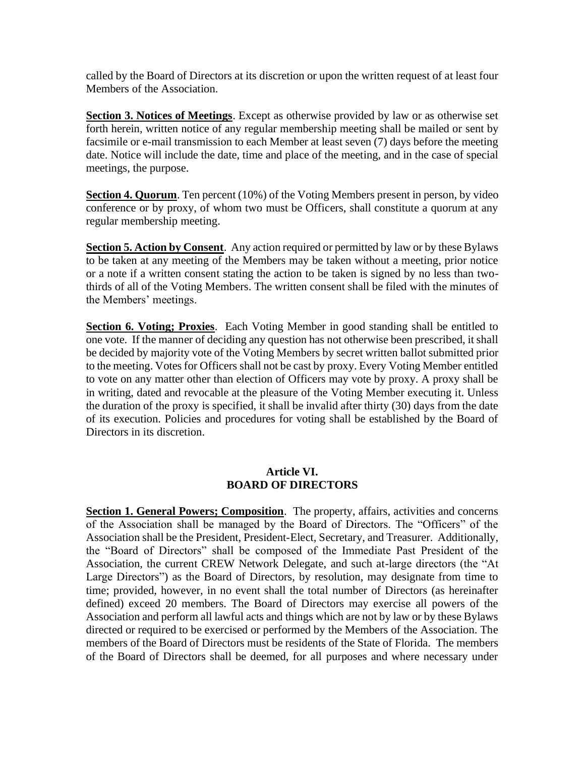called by the Board of Directors at its discretion or upon the written request of at least four Members of the Association.

**Section 3. Notices of Meetings**. Except as otherwise provided by law or as otherwise set forth herein, written notice of any regular membership meeting shall be mailed or sent by facsimile or e-mail transmission to each Member at least seven (7) days before the meeting date. Notice will include the date, time and place of the meeting, and in the case of special meetings, the purpose.

**Section 4. Quorum**. Ten percent (10%) of the Voting Members present in person, by video conference or by proxy, of whom two must be Officers, shall constitute a quorum at any regular membership meeting.

**Section 5. Action by Consent**. Any action required or permitted by law or by these Bylaws to be taken at any meeting of the Members may be taken without a meeting, prior notice or a note if a written consent stating the action to be taken is signed by no less than twothirds of all of the Voting Members. The written consent shall be filed with the minutes of the Members' meetings.

**Section 6. Voting; Proxies**. Each Voting Member in good standing shall be entitled to one vote. If the manner of deciding any question has not otherwise been prescribed, it shall be decided by majority vote of the Voting Members by secret written ballot submitted prior to the meeting. Votes for Officers shall not be cast by proxy. Every Voting Member entitled to vote on any matter other than election of Officers may vote by proxy. A proxy shall be in writing, dated and revocable at the pleasure of the Voting Member executing it. Unless the duration of the proxy is specified, it shall be invalid after thirty (30) days from the date of its execution. Policies and procedures for voting shall be established by the Board of Directors in its discretion.

## **Article VI. BOARD OF DIRECTORS**

**Section 1. General Powers; Composition**. The property, affairs, activities and concerns of the Association shall be managed by the Board of Directors. The "Officers" of the Association shall be the President, President-Elect, Secretary, and Treasurer. Additionally, the "Board of Directors" shall be composed of the Immediate Past President of the Association, the current CREW Network Delegate, and such at-large directors (the "At Large Directors") as the Board of Directors, by resolution, may designate from time to time; provided, however, in no event shall the total number of Directors (as hereinafter defined) exceed 20 members. The Board of Directors may exercise all powers of the Association and perform all lawful acts and things which are not by law or by these Bylaws directed or required to be exercised or performed by the Members of the Association. The members of the Board of Directors must be residents of the State of Florida. The members of the Board of Directors shall be deemed, for all purposes and where necessary under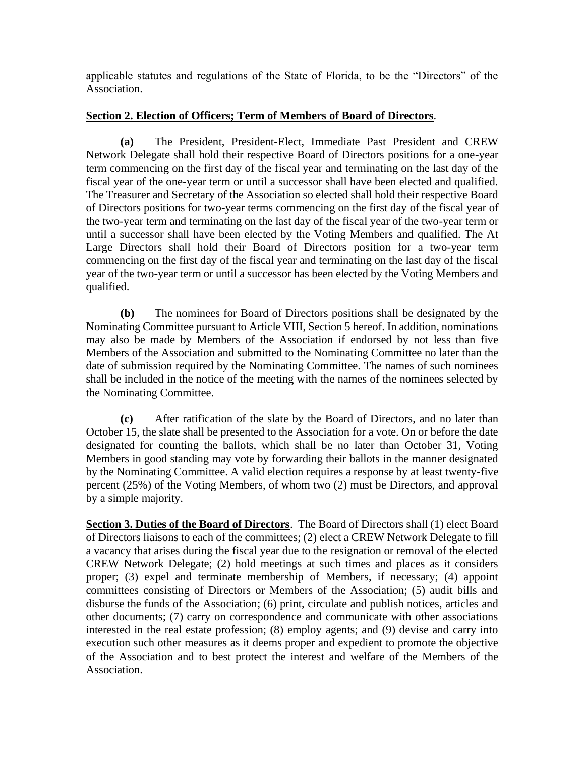applicable statutes and regulations of the State of Florida, to be the "Directors" of the Association.

### **Section 2. Election of Officers; Term of Members of Board of Directors**.

**(a)** The President, President-Elect, Immediate Past President and CREW Network Delegate shall hold their respective Board of Directors positions for a one-year term commencing on the first day of the fiscal year and terminating on the last day of the fiscal year of the one-year term or until a successor shall have been elected and qualified. The Treasurer and Secretary of the Association so elected shall hold their respective Board of Directors positions for two-year terms commencing on the first day of the fiscal year of the two-year term and terminating on the last day of the fiscal year of the two-year term or until a successor shall have been elected by the Voting Members and qualified. The At Large Directors shall hold their Board of Directors position for a two-year term commencing on the first day of the fiscal year and terminating on the last day of the fiscal year of the two-year term or until a successor has been elected by the Voting Members and qualified.

**(b)** The nominees for Board of Directors positions shall be designated by the Nominating Committee pursuant to Article VIII, Section 5 hereof. In addition, nominations may also be made by Members of the Association if endorsed by not less than five Members of the Association and submitted to the Nominating Committee no later than the date of submission required by the Nominating Committee. The names of such nominees shall be included in the notice of the meeting with the names of the nominees selected by the Nominating Committee.

**(c)** After ratification of the slate by the Board of Directors, and no later than October 15, the slate shall be presented to the Association for a vote. On or before the date designated for counting the ballots, which shall be no later than October 31, Voting Members in good standing may vote by forwarding their ballots in the manner designated by the Nominating Committee. A valid election requires a response by at least twenty-five percent (25%) of the Voting Members, of whom two (2) must be Directors, and approval by a simple majority.

Section 3. Duties of the Board of Directors. The Board of Directors shall (1) elect Board of Directors liaisons to each of the committees; (2) elect a CREW Network Delegate to fill a vacancy that arises during the fiscal year due to the resignation or removal of the elected CREW Network Delegate; (2) hold meetings at such times and places as it considers proper; (3) expel and terminate membership of Members, if necessary; (4) appoint committees consisting of Directors or Members of the Association; (5) audit bills and disburse the funds of the Association; (6) print, circulate and publish notices, articles and other documents; (7) carry on correspondence and communicate with other associations interested in the real estate profession; (8) employ agents; and (9) devise and carry into execution such other measures as it deems proper and expedient to promote the objective of the Association and to best protect the interest and welfare of the Members of the Association.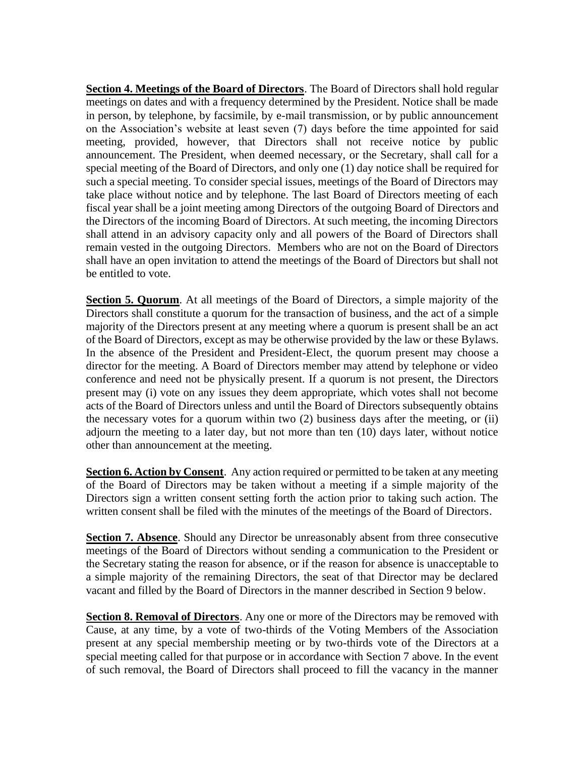**Section 4. Meetings of the Board of Directors**. The Board of Directors shall hold regular meetings on dates and with a frequency determined by the President. Notice shall be made in person, by telephone, by facsimile, by e-mail transmission, or by public announcement on the Association's website at least seven (7) days before the time appointed for said meeting, provided, however, that Directors shall not receive notice by public announcement. The President, when deemed necessary, or the Secretary, shall call for a special meeting of the Board of Directors, and only one (1) day notice shall be required for such a special meeting. To consider special issues, meetings of the Board of Directors may take place without notice and by telephone. The last Board of Directors meeting of each fiscal year shall be a joint meeting among Directors of the outgoing Board of Directors and the Directors of the incoming Board of Directors. At such meeting, the incoming Directors shall attend in an advisory capacity only and all powers of the Board of Directors shall remain vested in the outgoing Directors. Members who are not on the Board of Directors shall have an open invitation to attend the meetings of the Board of Directors but shall not be entitled to vote.

**Section 5. Quorum.** At all meetings of the Board of Directors, a simple majority of the Directors shall constitute a quorum for the transaction of business, and the act of a simple majority of the Directors present at any meeting where a quorum is present shall be an act of the Board of Directors, except as may be otherwise provided by the law or these Bylaws. In the absence of the President and President-Elect, the quorum present may choose a director for the meeting. A Board of Directors member may attend by telephone or video conference and need not be physically present. If a quorum is not present, the Directors present may (i) vote on any issues they deem appropriate, which votes shall not become acts of the Board of Directors unless and until the Board of Directors subsequently obtains the necessary votes for a quorum within two (2) business days after the meeting, or (ii) adjourn the meeting to a later day, but not more than ten (10) days later, without notice other than announcement at the meeting.

**Section 6. Action by Consent**. Any action required or permitted to be taken at any meeting of the Board of Directors may be taken without a meeting if a simple majority of the Directors sign a written consent setting forth the action prior to taking such action. The written consent shall be filed with the minutes of the meetings of the Board of Directors.

**Section 7. Absence**. Should any Director be unreasonably absent from three consecutive meetings of the Board of Directors without sending a communication to the President or the Secretary stating the reason for absence, or if the reason for absence is unacceptable to a simple majority of the remaining Directors, the seat of that Director may be declared vacant and filled by the Board of Directors in the manner described in Section 9 below.

**Section 8. Removal of Directors**. Any one or more of the Directors may be removed with Cause, at any time, by a vote of two-thirds of the Voting Members of the Association present at any special membership meeting or by two-thirds vote of the Directors at a special meeting called for that purpose or in accordance with Section 7 above. In the event of such removal, the Board of Directors shall proceed to fill the vacancy in the manner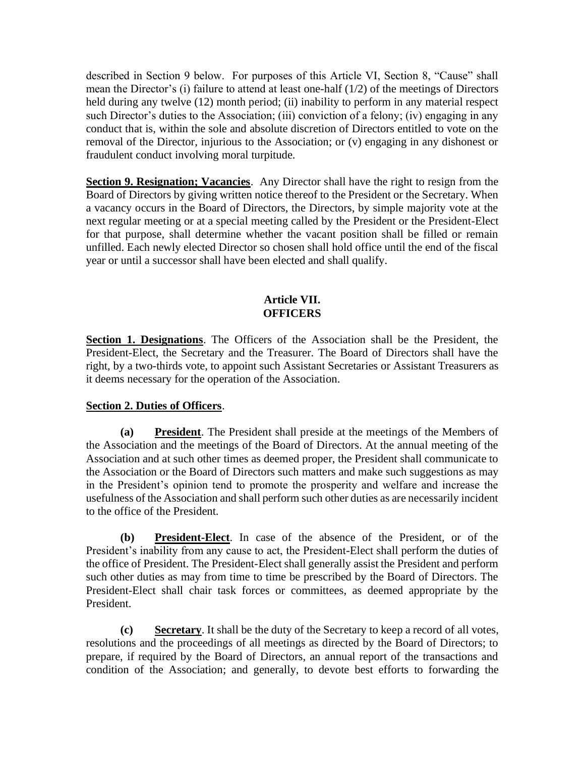described in Section 9 below. For purposes of this Article VI, Section 8, "Cause" shall mean the Director's (i) failure to attend at least one-half (1/2) of the meetings of Directors held during any twelve (12) month period; (ii) inability to perform in any material respect such Director's duties to the Association; (iii) conviction of a felony; (iv) engaging in any conduct that is, within the sole and absolute discretion of Directors entitled to vote on the removal of the Director, injurious to the Association; or (v) engaging in any dishonest or fraudulent conduct involving moral turpitude.

**Section 9. Resignation; Vacancies**. Any Director shall have the right to resign from the Board of Directors by giving written notice thereof to the President or the Secretary. When a vacancy occurs in the Board of Directors, the Directors, by simple majority vote at the next regular meeting or at a special meeting called by the President or the President-Elect for that purpose, shall determine whether the vacant position shall be filled or remain unfilled. Each newly elected Director so chosen shall hold office until the end of the fiscal year or until a successor shall have been elected and shall qualify.

#### **Article VII. OFFICERS**

**Section 1. Designations**. The Officers of the Association shall be the President, the President-Elect, the Secretary and the Treasurer. The Board of Directors shall have the right, by a two-thirds vote, to appoint such Assistant Secretaries or Assistant Treasurers as it deems necessary for the operation of the Association.

## **Section 2. Duties of Officers**.

**(a) President**. The President shall preside at the meetings of the Members of the Association and the meetings of the Board of Directors. At the annual meeting of the Association and at such other times as deemed proper, the President shall communicate to the Association or the Board of Directors such matters and make such suggestions as may in the President's opinion tend to promote the prosperity and welfare and increase the usefulness of the Association and shall perform such other duties as are necessarily incident to the office of the President.

**(b) President-Elect**. In case of the absence of the President, or of the President's inability from any cause to act, the President-Elect shall perform the duties of the office of President. The President-Elect shall generally assist the President and perform such other duties as may from time to time be prescribed by the Board of Directors. The President-Elect shall chair task forces or committees, as deemed appropriate by the President.

**(c) Secretary**. It shall be the duty of the Secretary to keep a record of all votes, resolutions and the proceedings of all meetings as directed by the Board of Directors; to prepare, if required by the Board of Directors, an annual report of the transactions and condition of the Association; and generally, to devote best efforts to forwarding the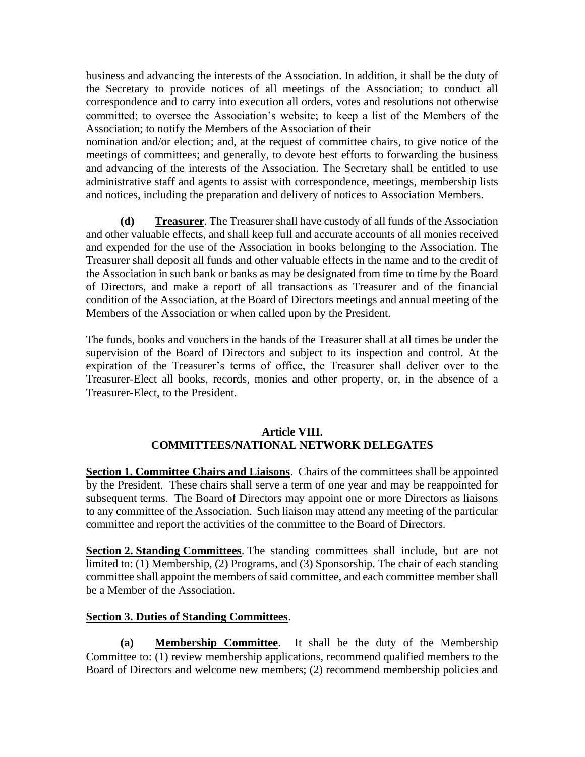business and advancing the interests of the Association. In addition, it shall be the duty of the Secretary to provide notices of all meetings of the Association; to conduct all correspondence and to carry into execution all orders, votes and resolutions not otherwise committed; to oversee the Association's website; to keep a list of the Members of the Association; to notify the Members of the Association of their

nomination and/or election; and, at the request of committee chairs, to give notice of the meetings of committees; and generally, to devote best efforts to forwarding the business and advancing of the interests of the Association. The Secretary shall be entitled to use administrative staff and agents to assist with correspondence, meetings, membership lists and notices, including the preparation and delivery of notices to Association Members.

**(d) Treasurer**. The Treasurer shall have custody of all funds of the Association and other valuable effects, and shall keep full and accurate accounts of all monies received and expended for the use of the Association in books belonging to the Association. The Treasurer shall deposit all funds and other valuable effects in the name and to the credit of the Association in such bank or banks as may be designated from time to time by the Board of Directors, and make a report of all transactions as Treasurer and of the financial condition of the Association, at the Board of Directors meetings and annual meeting of the Members of the Association or when called upon by the President.

The funds, books and vouchers in the hands of the Treasurer shall at all times be under the supervision of the Board of Directors and subject to its inspection and control. At the expiration of the Treasurer's terms of office, the Treasurer shall deliver over to the Treasurer-Elect all books, records, monies and other property, or, in the absence of a Treasurer-Elect, to the President.

## **Article VIII. COMMITTEES/NATIONAL NETWORK DELEGATES**

**Section 1. Committee Chairs and Liaisons.** Chairs of the committees shall be appointed by the President. These chairs shall serve a term of one year and may be reappointed for subsequent terms. The Board of Directors may appoint one or more Directors as liaisons to any committee of the Association. Such liaison may attend any meeting of the particular committee and report the activities of the committee to the Board of Directors.

**Section 2. Standing Committees**. The standing committees shall include, but are not limited to: (1) Membership, (2) Programs, and (3) Sponsorship. The chair of each standing committee shall appoint the members of said committee, and each committee member shall be a Member of the Association.

## **Section 3. Duties of Standing Committees**.

**(a) Membership Committee**. It shall be the duty of the Membership Committee to: (1) review membership applications, recommend qualified members to the Board of Directors and welcome new members; (2) recommend membership policies and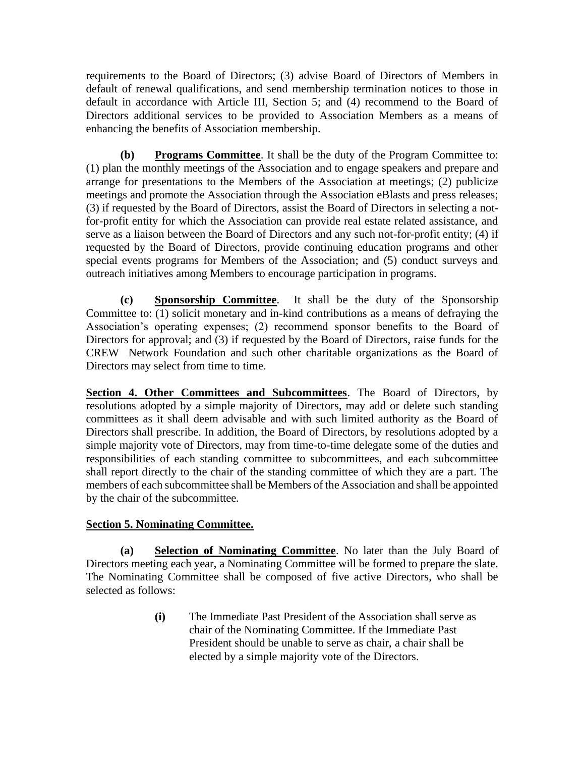requirements to the Board of Directors; (3) advise Board of Directors of Members in default of renewal qualifications, and send membership termination notices to those in default in accordance with Article III, Section 5; and (4) recommend to the Board of Directors additional services to be provided to Association Members as a means of enhancing the benefits of Association membership.

**(b) Programs Committee**. It shall be the duty of the Program Committee to: (1) plan the monthly meetings of the Association and to engage speakers and prepare and arrange for presentations to the Members of the Association at meetings; (2) publicize meetings and promote the Association through the Association eBlasts and press releases; (3) if requested by the Board of Directors, assist the Board of Directors in selecting a notfor-profit entity for which the Association can provide real estate related assistance, and serve as a liaison between the Board of Directors and any such not-for-profit entity; (4) if requested by the Board of Directors, provide continuing education programs and other special events programs for Members of the Association; and (5) conduct surveys and outreach initiatives among Members to encourage participation in programs.

**(c) Sponsorship Committee**. It shall be the duty of the Sponsorship Committee to: (1) solicit monetary and in-kind contributions as a means of defraying the Association's operating expenses; (2) recommend sponsor benefits to the Board of Directors for approval; and (3) if requested by the Board of Directors, raise funds for the CREW Network Foundation and such other charitable organizations as the Board of Directors may select from time to time.

**Section 4. Other Committees and Subcommittees**. The Board of Directors, by resolutions adopted by a simple majority of Directors, may add or delete such standing committees as it shall deem advisable and with such limited authority as the Board of Directors shall prescribe. In addition, the Board of Directors, by resolutions adopted by a simple majority vote of Directors, may from time-to-time delegate some of the duties and responsibilities of each standing committee to subcommittees, and each subcommittee shall report directly to the chair of the standing committee of which they are a part. The members of each subcommittee shall be Members of the Association and shall be appointed by the chair of the subcommittee.

## **Section 5. Nominating Committee.**

**(a) Selection of Nominating Committee**. No later than the July Board of Directors meeting each year, a Nominating Committee will be formed to prepare the slate. The Nominating Committee shall be composed of five active Directors, who shall be selected as follows:

> **(i)** The Immediate Past President of the Association shall serve as chair of the Nominating Committee. If the Immediate Past President should be unable to serve as chair, a chair shall be elected by a simple majority vote of the Directors.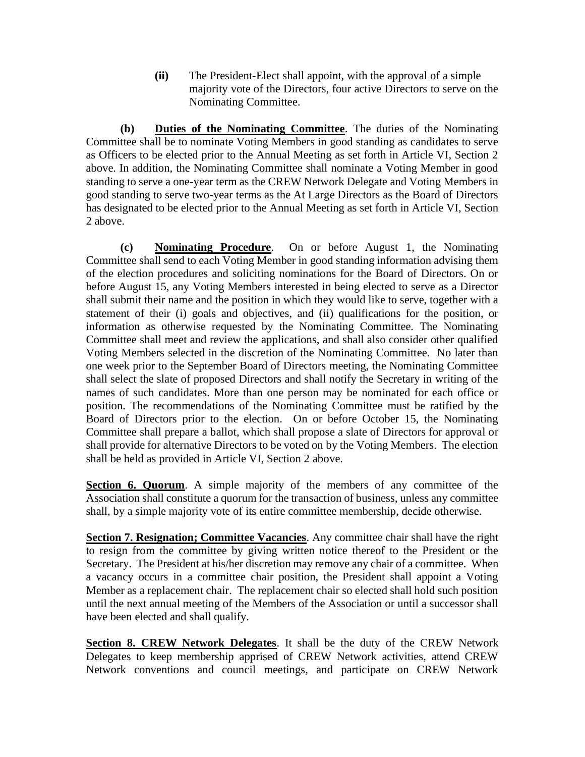**(ii)** The President-Elect shall appoint, with the approval of a simple majority vote of the Directors, four active Directors to serve on the Nominating Committee.

**(b) Duties of the Nominating Committee**. The duties of the Nominating Committee shall be to nominate Voting Members in good standing as candidates to serve as Officers to be elected prior to the Annual Meeting as set forth in Article VI, Section 2 above. In addition, the Nominating Committee shall nominate a Voting Member in good standing to serve a one-year term as the CREW Network Delegate and Voting Members in good standing to serve two-year terms as the At Large Directors as the Board of Directors has designated to be elected prior to the Annual Meeting as set forth in Article VI, Section 2 above.

**(c) Nominating Procedure**. On or before August 1, the Nominating Committee shall send to each Voting Member in good standing information advising them of the election procedures and soliciting nominations for the Board of Directors. On or before August 15, any Voting Members interested in being elected to serve as a Director shall submit their name and the position in which they would like to serve, together with a statement of their (i) goals and objectives, and (ii) qualifications for the position, or information as otherwise requested by the Nominating Committee. The Nominating Committee shall meet and review the applications, and shall also consider other qualified Voting Members selected in the discretion of the Nominating Committee. No later than one week prior to the September Board of Directors meeting, the Nominating Committee shall select the slate of proposed Directors and shall notify the Secretary in writing of the names of such candidates. More than one person may be nominated for each office or position. The recommendations of the Nominating Committee must be ratified by the Board of Directors prior to the election. On or before October 15, the Nominating Committee shall prepare a ballot, which shall propose a slate of Directors for approval or shall provide for alternative Directors to be voted on by the Voting Members. The election shall be held as provided in Article VI, Section 2 above.

**Section 6. Quorum.** A simple majority of the members of any committee of the Association shall constitute a quorum for the transaction of business, unless any committee shall, by a simple majority vote of its entire committee membership, decide otherwise.

**Section 7. Resignation; Committee Vacancies**. Any committee chair shall have the right to resign from the committee by giving written notice thereof to the President or the Secretary. The President at his/her discretion may remove any chair of a committee. When a vacancy occurs in a committee chair position, the President shall appoint a Voting Member as a replacement chair. The replacement chair so elected shall hold such position until the next annual meeting of the Members of the Association or until a successor shall have been elected and shall qualify.

**Section 8. CREW Network Delegates**. It shall be the duty of the CREW Network Delegates to keep membership apprised of CREW Network activities, attend CREW Network conventions and council meetings, and participate on CREW Network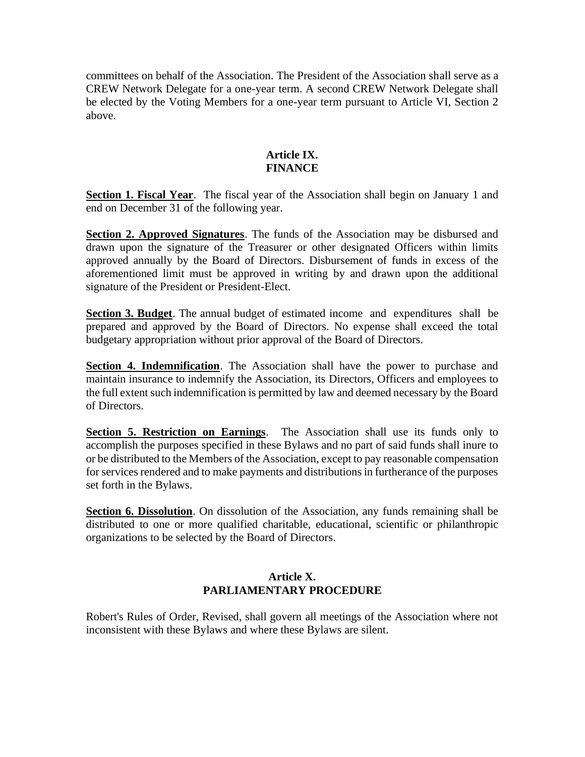committees on behalf of the Association. The President of the Association shall serve as a CREW Network Delegate for a one-year term. A second CREW Network Delegate shall be elected by the Voting Members for a one-year term pursuant to Article VI, Section 2 above.

# **Article IX. FINANCE**

**Section 1. Fiscal Year.** The fiscal year of the Association shall begin on January 1 and end on December 31 of the following year.

**Section 2. Approved Signatures**. The funds of the Association may be disbursed and drawn upon the signature of the Treasurer or other designated Officers within limits approved annually by the Board of Directors. Disbursement of funds in excess of the aforementioned limit must be approved in writing by and drawn upon the additional signature of the President or President-Elect.

**Section 3. Budget**. The annual budget of estimated income and expenditures shall be prepared and approved by the Board of Directors. No expense shall exceed the total budgetary appropriation without prior approval of the Board of Directors.

**Section 4. Indemnification**. The Association shall have the power to purchase and maintain insurance to indemnify the Association, its Directors, Officers and employees to the full extent such indemnification is permitted by law and deemed necessary by the Board of Directors.

**Section 5. Restriction on Earnings**. The Association shall use its funds only to accomplish the purposes specified in these Bylaws and no part of said funds shall inure to or be distributed to the Members of the Association, except to pay reasonable compensation for services rendered and to make payments and distributions in furtherance of the purposes set forth in the Bylaws.

**Section 6. Dissolution**. On dissolution of the Association, any funds remaining shall be distributed to one or more qualified charitable, educational, scientific or philanthropic organizations to be selected by the Board of Directors.

# **Article X. PARLIAMENTARY PROCEDURE**

Robert's Rules of Order, Revised, shall govern all meetings of the Association where not inconsistent with these Bylaws and where these Bylaws are silent.